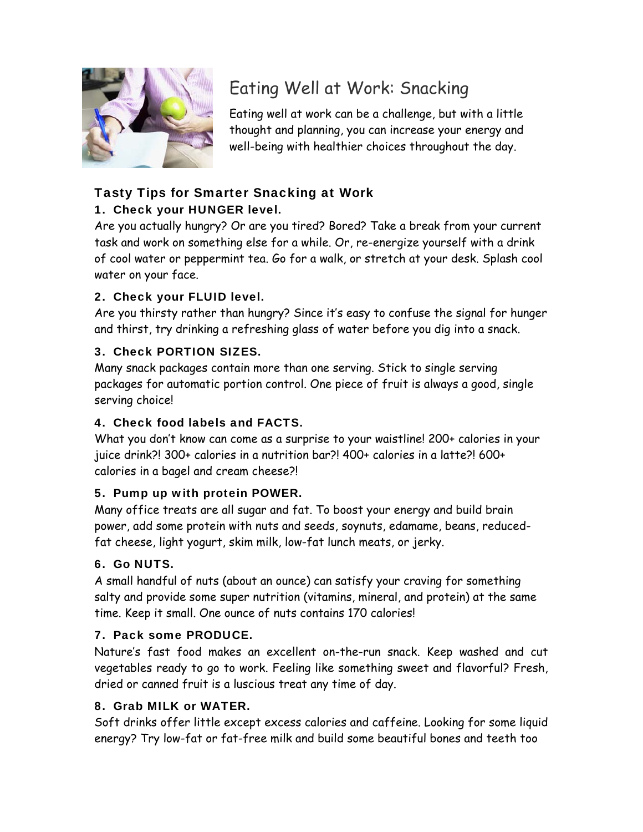

# Eating Well at Work: Snacking

Eating well at work can be a challenge, but with a little thought and planning, you can increase your energy and well-being with healthier choices throughout the day.

## Tasty Tips for Smarter Snacking at Work

## 1. Check your HUNGER level.

Are you actually hungry? Or are you tired? Bored? Take a break from your current task and work on something else for a while. Or, re-energize yourself with a drink of cool water or peppermint tea. Go for a walk, or stretch at your desk. Splash cool water on your face.

### 2. Check your FLUID level.

Are you thirsty rather than hungry? Since it's easy to confuse the signal for hunger and thirst, try drinking a refreshing glass of water before you dig into a snack.

### 3. Check PORTION SIZES.

Many snack packages contain more than one serving. Stick to single serving packages for automatic portion control. One piece of fruit is always a good, single serving choice!

### 4. Check food labels and FACTS.

What you don't know can come as a surprise to your waistline! 200+ calories in your juice drink?! 300+ calories in a nutrition bar?! 400+ calories in a latte?! 600+ calories in a bagel and cream cheese?!

### 5. Pump up with protein POWER.

Many office treats are all sugar and fat. To boost your energy and build brain power, add some protein with nuts and seeds, soynuts, edamame, beans, reducedfat cheese, light yogurt, skim milk, low-fat lunch meats, or jerky.

### 6. Go NUTS.

A small handful of nuts (about an ounce) can satisfy your craving for something salty and provide some super nutrition (vitamins, mineral, and protein) at the same time. Keep it small. One ounce of nuts contains 170 calories!

### 7. Pack some PRODUCE.

Nature's fast food makes an excellent on-the-run snack. Keep washed and cut vegetables ready to go to work. Feeling like something sweet and flavorful? Fresh, dried or canned fruit is a luscious treat any time of day.

### 8. Grab MILK or WATER.

Soft drinks offer little except excess calories and caffeine. Looking for some liquid energy? Try low-fat or fat-free milk and build some beautiful bones and teeth too